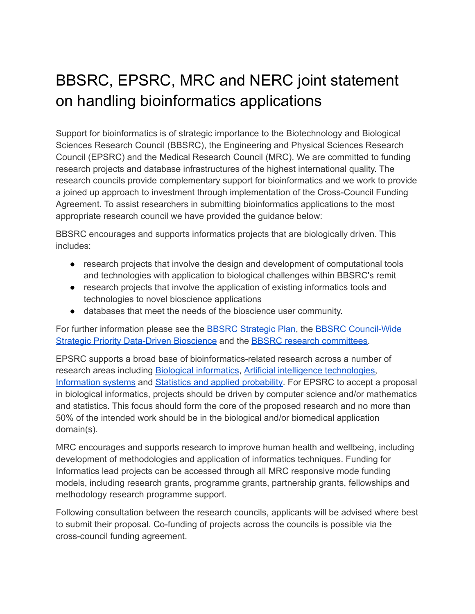## BBSRC, EPSRC, MRC and NERC joint statement on handling bioinformatics applications

Support for bioinformatics is of strategic importance to the Biotechnology and Biological Sciences Research Council (BBSRC), the Engineering and Physical Sciences Research Council (EPSRC) and the Medical Research Council (MRC). We are committed to funding research projects and database infrastructures of the highest international quality. The research councils provide complementary support for bioinformatics and we work to provide a joined up approach to investment through implementation of the Cross-Council Funding Agreement. To assist researchers in submitting bioinformatics applications to the most appropriate research council we have provided the guidance below:

BBSRC encourages and supports informatics projects that are biologically driven. This includes:

- research projects that involve the design and development of computational tools and technologies with application to biological challenges within BBSRC's remit
- research projects that involve the application of existing informatics tools and technologies to novel bioscience applications
- databases that meet the needs of the bioscience user community.

For further information please see the BBSRC [Strategic](https://bbsrc.ukri.org/about/vision-mission-strategy/planning/) Plan, the BBSRC [Council-Wide](https://bbsrc.ukri.org/funding/grants/priorities/data-driven-biology/) Strategic Priority [Data-Driven](https://bbsrc.ukri.org/funding/grants/priorities/data-driven-biology/) Bioscience and the BBSRC research [committees.](https://bbsrc.ukri.org/about/governance-structure/committees/committee-pool-membership/)

EPSRC supports a broad base of bioinformatics-related research across a number of research areas including Biological [informatics](https://www.ukri.org/our-work/browse-our-areas-of-investment-and-support/biological-informatics/), Artificial intelligence [technologies,](https://www.ukri.org/our-work/browse-our-areas-of-investment-and-support/artificial-intelligence-technologies/) [Information](https://www.ukri.org/our-work/browse-our-areas-of-investment-and-support/information-systems/) systems and Statistics and applied [probability.](https://www.ukri.org/our-work/browse-our-areas-of-investment-and-support/statistics-and-applied-probability/) For EPSRC to accept a proposal in biological informatics, projects should be driven by computer science and/or mathematics and statistics. This focus should form the core of the proposed research and no more than 50% of the intended work should be in the biological and/or biomedical application domain(s).

MRC encourages and supports research to improve human health and wellbeing, including development of methodologies and application of informatics techniques. Funding for Informatics lead projects can be accessed through all MRC responsive mode funding models, including research grants, programme grants, partnership grants, fellowships and methodology research programme support.

Following consultation between the research councils, applicants will be advised where best to submit their proposal. Co-funding of projects across the councils is possible via the cross-council funding agreement.